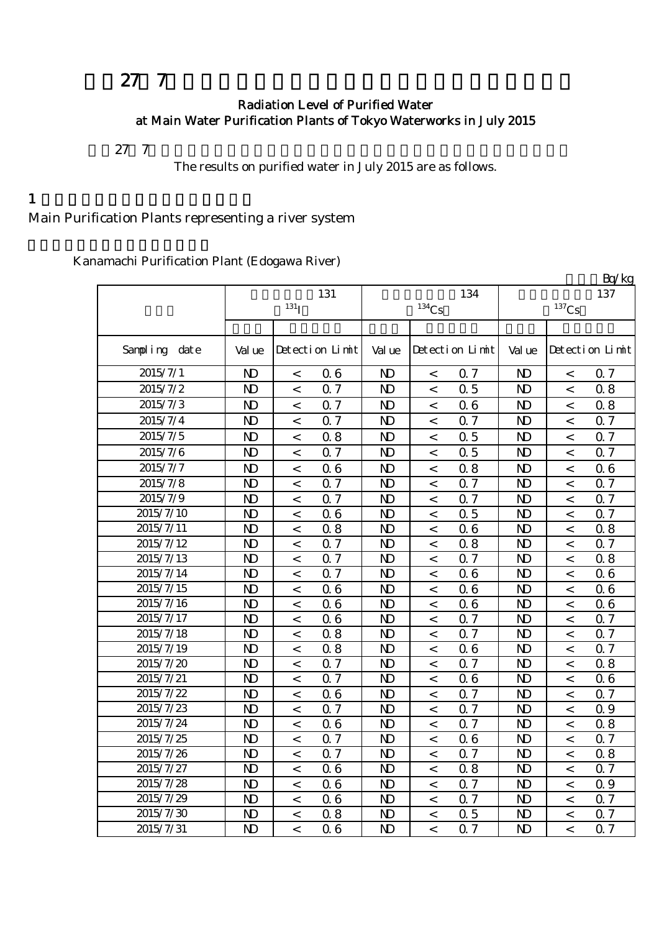# 27 7

#### Radiation Level of Purified Water at Main Water Purification Plants of Tokyo Waterworks in July 2015

 $27$  7

The results on purified water in July 2015 are as follows.

#### $1$

# Main Purification Plants representing a river system

|  | Kanamachi Purification Plant (Edogawa River) |  |
|--|----------------------------------------------|--|
|  |                                              |  |

|               |                |                          |                 |                |                     |                  |                |                     | Bq/kg           |
|---------------|----------------|--------------------------|-----------------|----------------|---------------------|------------------|----------------|---------------------|-----------------|
|               |                |                          | 131             |                |                     | 134              |                |                     | 137             |
|               |                | $131$ <sub>I</sub>       |                 |                | $^{134}\mathrm{Cs}$ |                  |                | $^{137}\mathrm{Cs}$ |                 |
|               |                |                          |                 |                |                     |                  |                |                     |                 |
| Sampling date | Val ue         |                          | Detection Limit | Val ue         |                     | Detection Limit  | Val ue         |                     | Detection Limit |
| 2015/7/1      | N <sub>D</sub> | $\,<\,$                  | 06              | N <sub>D</sub> | $\,<\,$             | 0.7              | $\mathbf{D}$   | $\,<\,$             | 0.7             |
| 2015/7/2      | $\mathbf{D}$   | $\,<\,$                  | 0.7             | $\mathbf{D}$   | $\,<$               | 0.5              | $\mathbf{D}$   | $\,<$               | 0.8             |
| 2015/7/3      | $\mathbf{D}$   | $\,<\,$                  | 0.7             | N <sub>D</sub> | $\,<$               | 06               | $\mathbf{D}$   | $\,<$               | 0.8             |
| 2015/7/4      | $\mathbf{D}$   | $\,<\,$                  | 0.7             | N <sub>D</sub> | $\,<\,$             | Q 7              | $\mathbf{D}$   | $\,<$               | 0.7             |
| 2015/7/5      | N <sub>D</sub> | $\,<\,$                  | 0.8             | N <sub>D</sub> | $\,<$               | 0.5              | $\mathbf{D}$   | $\lt$               | 0.7             |
| 2015/7/6      | $\mathbf{D}$   | $\lt$                    | 0.7             | $\mathbf{D}$   | $\,<$               | 0.5              | $\mathbf{D}$   | $\,<$               | 0.7             |
| 2015/7/7      | $\mathbf{D}$   | $\,<\,$                  | 06              | $\mathbf{D}$   | $\,<$               | 0.8              | $\mathbf{D}$   | $\,<$               | 0.6             |
| 2015/7/8      | $\mathbf{D}$   | $\,<\,$                  | 0.7             | N <sub>D</sub> | $\,<\,$             | 0.7              | N <sub>D</sub> | $\,<$               | 0.7             |
| 2015/7/9      | $\mathbf{D}$   | $\,<\,$                  | 0.7             | $\mathbf{D}$   | $\,<$               | Q 7              | $\mathbf{D}$   | $\,<$               | 0.7             |
| 2015/7/10     | $\mathbf{D}$   | $\,<\,$                  | 06              | $\mathbf{D}$   | $\,<$               | 0.5              | $\mathbf{D}$   | $\,<$               | 0.7             |
| 2015/7/11     | $\mathbf{D}$   | $\,<$                    | 0.8             | $\mathbf{D}$   | $\,<$               | 06               | $\mathbf{D}$   | $\,<$               | 0.8             |
| 2015/7/12     | $\mathbf{D}$   | $\,<$                    | 0.7             | $\mathbf{D}$   | $\,<$               | 0.8              | $\mathbf{D}$   | $\,<$               | 0.7             |
| 2015/7/13     | $\mathbf{D}$   | $\,<$                    | 0.7             | $\mathbf{D}$   | $\,<\,$             | 0.7              | $\mathbf{D}$   | $\,<$               | 0.8             |
| 2015/7/14     | $\mathbf{D}$   | $\,<$                    | 0.7             | $\mathbf{D}$   | $\,<$               | 06               | $\mathbf{D}$   | $\,<$               | 0.6             |
| 2015/7/15     | $\mathbf{D}$   | $\,<$                    | 06              | $\mathbf{D}$   | $\,<$               | 06               | $\mathbf{D}$   | $\,<$               | 0.6             |
| 2015/7/16     | $\mathbf{D}$   | $\,<$                    | 06              | $\mathbf{D}$   | $\,<\,$             | 06               | N <sub>D</sub> | $\lt$               | 06              |
| 2015/7/17     | N <sub>D</sub> | $\,<\,$                  | 06              | $\mathbf{D}$   | $\,<\,$             | Q 7              | $\mathbf{D}$   | $\,<$               | 0.7             |
| 2015/7/18     | $\mathbf{D}$   | $\,<$                    | 0.8             | $\mathbf{D}$   | $\,<\,$             | Q 7              | $\mathbf{D}$   | $\,<$               | 0.7             |
| 2015/7/19     | $\mathbf{D}$   | $\,<\,$                  | 0.8             | $\mathbf{D}$   | $\,<\,$             | 06               | $\mathbf{D}$   | $\,<$               | 0.7             |
| 2015/7/20     | $\mathbf{D}$   | $\,<$                    | 0.7             | $\mathbf{D}$   | $\,<$               | 0.7              | N <sub>D</sub> | $\,<$               | 0.8             |
| 2015/7/21     | N <sub>D</sub> | $\,<\,$                  | 0.7             | $\mathbf{D}$   | $\,<\,$             | 06               | N <sub>D</sub> | $\,<$               | 0.6             |
| 2015/7/22     | N <sub>D</sub> | $\lt$                    | 06              | $\mathbf{D}$   | $\lt$               | 0.7              | N <sub>D</sub> | $\lt$               | 0.7             |
| 2015/7/23     | N <sub>D</sub> | $\overline{\phantom{0}}$ | 0.7             | $\mathbf{D}$   | $\,<$               | Q <sub>7</sub>   | $\mathbf{D}$   | $\,<$               | 0.9             |
| 2015/7/24     | N <sub>D</sub> | $\lt$                    | 06              | N <sub>D</sub> | $\,<\,$             | Q 7              | $\mathbf{D}$   | $\lt$               | 0.8             |
| 2015/7/25     | N <sub>D</sub> | $\lt$                    | 0.7             | $\mathbf{D}$   | $\,<$               | 06               | $\mathbf{D}$   | $\lt$               | 0.7             |
| 2015/7/26     | $\mathbf{D}$   | $\,<\,$                  | 0.7             | $\mathbf{D}$   | $\,<\,$             | 0.7              | $\mathbf{D}$   | $\,<\,$             | 0.8             |
| 2015/7/27     | N <sub>D</sub> | $\,<\,$                  | 06              | N <sub>D</sub> | $\,<\,$             | 0.8              | N <sub>D</sub> | $\,<\,$             | 0.7             |
| 2015/7/28     | N <sub>D</sub> | $\,<\,$                  | 06              | N <sub>D</sub> | $\,<\,$             | 0.7              | N <sub>D</sub> | $\,<$               | 0.9             |
| 2015/7/29     | $\mathbf{D}$   | $\overline{\phantom{a}}$ | 06              | $\mathbf{D}$   | $\,<$               | $\overline{0.7}$ | $\mathbf{D}$   | $\,<$               | 0.7             |
| 2015/7/30     | N <sub>D</sub> | $\,<$                    | 0.8             | N <sub>D</sub> | $\,<\,$             | 0.5              | N <sub>D</sub> | $\,<$               | 0.7             |
| 2015/7/31     | $\overline{D}$ | $\overline{a}$           | 06              | $\mathbf{D}$   | $\overline{a}$      | Q 7              | N <sub>D</sub> | $\overline{a}$      | 0.7             |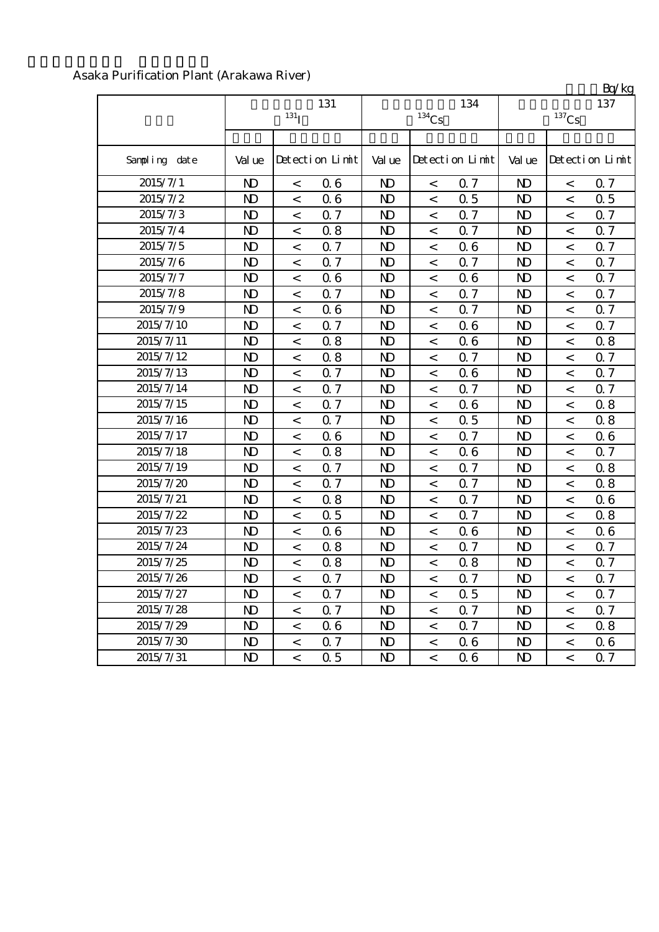## Asaka Purification Plant (Arakawa River)

|               |              | 131 <sub>I</sub>         | 131             |                | $^{134}\mathrm{Cs}$      | 134             |                | $^{137}\mathrm{Cs}$ | Ly ng<br>137    |
|---------------|--------------|--------------------------|-----------------|----------------|--------------------------|-----------------|----------------|---------------------|-----------------|
| Sampling date | Val ue       |                          | Detection Limit | Val ue         |                          | Detection Limit | Val ue         |                     | Detection Limit |
| 2015/7/1      | $\mathbf{D}$ | $\,<\,$                  | 06              | $\mathbf{D}$   | $\,<$                    | 0.7             | $\mathbf{D}$   | $\,<$               | 0.7             |
| 2015/7/2      | $\mathbf{D}$ | $\,<\,$                  | 06              | $\mathbf{D}$   | $\,<\,$                  | 0.5             | $\mathbf{D}$   | $\,<\,$             | 0.5             |
| 2015/7/3      | $\mathbf{D}$ | $\,<\,$                  | 0.7             | N <sub>D</sub> | $\lt$                    | 0.7             | N <sub>D</sub> | $\,<$               | 0.7             |
| 2015/7/4      | $\mathbf{D}$ | $\,<\,$                  | 0.8             | N <sub>D</sub> | $\,<$                    | Q 7             | N <sub>D</sub> | $\,<$               | 0.7             |
| 2015/7/5      | $\mathbf{D}$ | $\overline{\phantom{0}}$ | Q 7             | N <sub>D</sub> | $\,<\,$                  | 06              | $\mathbf{D}$   | $\,<$               | 0.7             |
| 2015/7/6      | $\mathbf{D}$ | $\,<\,$                  | 0.7             | N <sub>D</sub> | $\,<\,$                  | 0.7             | $\mathbf{D}$   | $\,<$               | 0.7             |
| 2015/7/7      | $\mathbf{D}$ | $\,<\,$                  | 06              | N <sub>D</sub> | $\,<\,$                  | 06              | $\mathbf{D}$   | $\,<$               | 0.7             |
| 2015/7/8      | $\mathbf{D}$ | $\,<\,$                  | 0.7             | N <sub>D</sub> | $\,<\,$                  | 0.7             | $\mathbf{D}$   | $\,<\,$             | 0.7             |
| 2015/7/9      | $\mathbf{D}$ | $\,<\,$                  | 06              | $\mathbf{D}$   | $\,<\,$                  | Q 7             | $\mathbf{D}$   | $\,<$               | 0.7             |
| 2015/7/10     | $\mathbf{D}$ | $\,<$                    | 0.7             | N <sub>D</sub> | $\,<\,$                  | 06              | $\mathbf{D}$   | $\,<$               | 0.7             |
| 2015/7/11     | $\mathbf{D}$ | $\,<$                    | 0.8             | N <sub>D</sub> | $\,<$                    | 06              | N <sub>D</sub> | $\,<$               | 0.8             |
| 2015/7/12     | $\mathbf{D}$ | $\,<\,$                  | 0.8             | N <sub>D</sub> | $\,<\,$                  | Q 7             | $\mathbf{D}$   | $\,<$               | 0.7             |
| 2015/7/13     | $\mathbf{D}$ | $\,<\,$                  | Q <sub>7</sub>  | N <sub>D</sub> | $\,<\,$                  | 06              | $\mathbf{D}$   | $\,<\,$             | 0.7             |
| 2015/7/14     | $\mathbf{D}$ | $\overline{\phantom{0}}$ | 0.7             | $\mathbf{D}$   | $\,<$                    | 0.7             | $\mathbf{D}$   | $\overline{a}$      | 0.7             |
| 2015/7/15     | $\mathbf{D}$ | $\,<\,$                  | 0.7             | $\mathbf{D}$   | $\,<\,$                  | 06              | N <sub>D</sub> | $\,<$               | 0.8             |
| 2015/7/16     | $\mathbf{D}$ | $\overline{\phantom{a}}$ | 0.7             | $\mathbf{D}$   | $\overline{\phantom{0}}$ | 0.5             | N <sub>D</sub> | $\overline{a}$      | 0.8             |
| 2015/7/17     | $\mathbf{D}$ | $\overline{\phantom{0}}$ | 06              | $\mathbf{D}$   | $\,<\,$                  | Q <sub>7</sub>  | $\mathbf{D}$   | $\,<\,$             | 0.6             |
| 2015/7/18     | $\mathbf{D}$ | $\,<\,$                  | 0.8             | N <sub>D</sub> | $\,<\,$                  | 06              | $\mathbf{D}$   | $\,<\,$             | 0.7             |
| 2015/7/19     | $\mathbf{D}$ | $\,<\,$                  | 0.7             | N <sub>D</sub> | $\,<\,$                  | Q <sub>0</sub>  | $\mathbf{D}$   | $\,<$               | 0.8             |
| 2015/7/20     | $\mathbf{D}$ | $\,<\,$                  | Q <sub>7</sub>  | $\mathbf{D}$   | $\overline{\phantom{0}}$ | 0.7             | $\mathbf{D}$   | $\,<$               | 0.8             |
| 2015/7/21     | $\mathbf{D}$ | $\,<$                    | 0.8             | $\mathbf{D}$   | $\,<$                    | 0.7             | $\mathbf{D}$   | $\,<$               | 0.6             |
| 2015/7/22     | $\mathbf{D}$ | $\,<\,$                  | 0.5             | $\mathbf{D}$   | $\,<$                    | Q 7             | $\mathbf{D}$   | $\,<$               | 0.8             |
| 2015/7/23     | $\mathbf{D}$ | $\,<\,$                  | 06              | $\mathbf{D}$   | $\,<\,$                  | 06              | $\mathbf{D}$   | $\,<\,$             | 0.6             |
| 2015/7/24     | $\mathbf{D}$ | $\,<\,$                  | 0.8             | N <sub>D</sub> | $\,<$                    | 0.7             | $\mathbf{D}$   | $\,<$               | 0.7             |
| 2015/7/25     | $\mathbf{D}$ | $\,<\,$                  | 0.8             | N <sub>D</sub> | $\,<\,$                  | 0.8             | $\mathbf{D}$   | $\,<$               | 0.7             |
| 2015/7/26     | $\mathbf{D}$ | $\,<\,$                  | Q 7             | $\mathbf{D}$   | $\,<\,$                  | 0.7             | $\mathbf{D}$   | $\,<$               | 0.7             |
| 2015/7/27     | $\mathbf{D}$ | $\,<\,$                  | 0.7             | $\mathbf{D}$   | $\,<\,$                  | 0.5             | $\mathbf{D}$   | $\,<\,$             | 0.7             |
| 2015/7/28     | $\mathbf{D}$ | $\lt$                    | 0.7             | N <sub>D</sub> | $\,<\,$                  | 0.7             | $\mathbf{D}$   | $\lt$               | 0.7             |
| 2015/7/29     | $\mathbf{D}$ | $\,<\,$                  | 06              | $\mathbf{D}$   | $\,<\,$                  | Q 7             | N <sub>D</sub> | $\,<\,$             | 0.8             |
| 2015/7/30     | $\mathbf{D}$ | $\,<\,$                  | 0.7             | $\mathbf{D}$   | $\,<\,$                  | 06              | $\mathbf{D}$   | $\,<$               | 0.6             |
| 2015/7/31     | $\mathbf{D}$ | $\,<\,$                  | 0.5             | N <sub>D</sub> | $\,<$                    | 06              | N <sub>D</sub> | $\,<$               | 0.7             |

 $Rn/kg$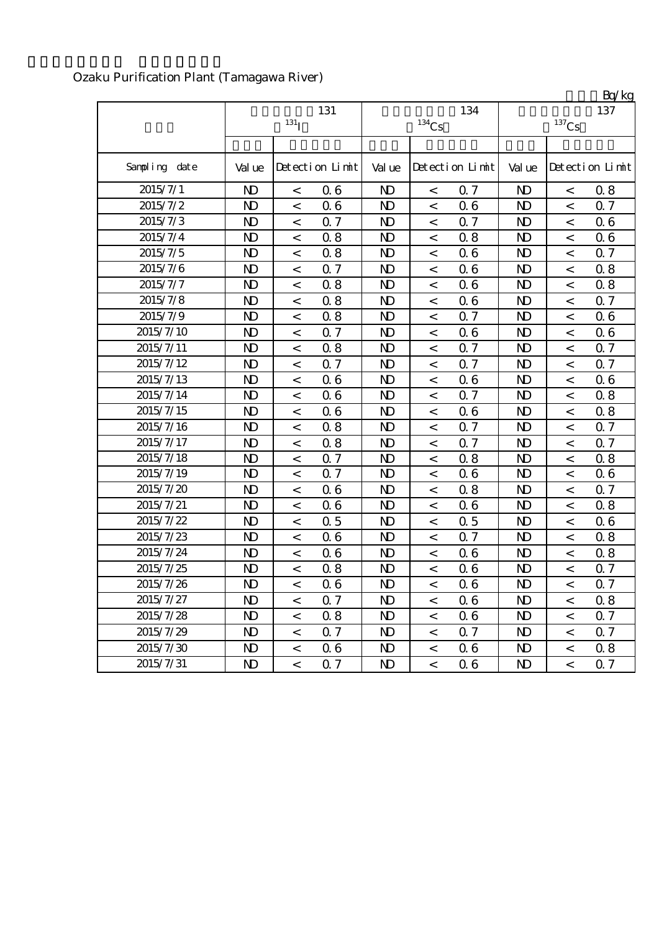|               |                |                          |                 |                |                     |                 |                |                          | Bq/kg           |
|---------------|----------------|--------------------------|-----------------|----------------|---------------------|-----------------|----------------|--------------------------|-----------------|
|               |                |                          | 131             |                |                     | 134             |                |                          | 137             |
|               |                | 131 <sub>I</sub>         |                 |                | $^{134}\mathrm{Cs}$ |                 |                | $^{137}\mathrm{Cs}$      |                 |
|               |                |                          |                 |                |                     |                 |                |                          |                 |
| Sampling date | Val ue         |                          | Detection Limit | Val ue         |                     | Detection Limit | Val ue         |                          | Detection Limit |
| 2015/7/1      | N <sub>D</sub> | $\overline{\phantom{0}}$ | 06              | $\mathbf{D}$   | $\lt$               | 0.7             | N <sub>D</sub> | $\overline{\phantom{0}}$ | 0.8             |
| 2015/7/2      | N <sub>D</sub> | $\,<\,$                  | 06              | $\mathbf{D}$   | $\,<$               | 06              | $\mathbf{D}$   | $\,<$                    | 0.7             |
| 2015/7/3      | N <sub>D</sub> | $\,<$                    | 0.7             | $\mathbf{D}$   | $\,<$               | 0.7             | $\mathbf{D}$   | $\,<\,$                  | 06              |
| 2015/7/4      | N <sub>D</sub> | $\,<$                    | 0.8             | N <sub>D</sub> | $\,<$               | 0.8             | N <sub>D</sub> | $\,<$                    | 0.6             |
| 2015/7/5      | N <sub>D</sub> | $\,<$                    | 0.8             | N <sub>D</sub> | $\,<$               | 06              | N <sub>D</sub> | $\,<$                    | 0.7             |
| 2015/7/6      | N <sub>D</sub> | $\,<\,$                  | 0.7             | $\mathbf{D}$   | $\,<\,$             | 06              | $\mathbf{D}$   | $\,<\,$                  | 0.8             |
| 2015/7/7      | N <sub>D</sub> | $\,<$                    | 0.8             | $\mathbf{D}$   | $\,<$               | 06              | N <sub>D</sub> | $\,<$                    | 0.8             |
| 2015/7/8      | N <sub>D</sub> | $\,<\,$                  | 0.8             | $\mathbf{D}$   | $\,<$               | 06              | $\mathbf{D}$   | $\,<$                    | 0.7             |
| 2015/7/9      | N <sub>D</sub> | $\lt$                    | 0.8             | N <sub>D</sub> | $\lt$               | 0.7             | N <sub>D</sub> | $\prec$                  | 0.6             |
| 2015/7/10     | N <sub>D</sub> | $\,<\,$                  | 0.7             | N <sub>D</sub> | $\,<$               | 06              | N <sub>D</sub> | $\,<\,$                  | 06              |
| 2015/7/11     | N <sub>D</sub> | $\,<\,$                  | 0.8             | $\mathbf{D}$   | $\,<\,$             | 0.7             | $\mathbf{D}$   | $\,<\,$                  | 0.7             |
| 2015/7/12     | $\mathbf{D}$   | $\,<$                    | 0.7             | $\mathbf{D}$   | $\,<$               | Q 7             | N <sub>D</sub> | $\,<$                    | 0.7             |
| 2015/7/13     | N <sub>D</sub> | $\,<$                    | 06              | $\mathbf{D}$   | $\,<$               | 06              | N <sub>D</sub> | $\,<$                    | 0.6             |
| 2015/7/14     | N <sub>D</sub> | $\,<$                    | 06              | $\mathbf{D}$   | $\,<$               | 0.7             | N <sub>D</sub> | $\,<$                    | 0.8             |
| 2015/7/15     | N <sub>D</sub> | $\,<\,$                  | 06              | $\mathbf{D}$   | $\,<\,$             | 06              | N <sub>D</sub> | $\,<\,$                  | 0.8             |
| 2015/7/16     | N <sub>D</sub> | $\,<\,$                  | 0.8             | $\mathbf{D}$   | $\,<\,$             | 0.7             | $\mathbf{D}$   | $\,<\,$                  | 0.7             |
| 2015/7/17     | N <sub>D</sub> | $\,<\,$                  | 0.8             | N <sub>D</sub> | $\,<\,$             | 0.7             | N <sub>D</sub> | $\,<\,$                  | 0.7             |
| 2015/7/18     | N <sub>D</sub> | $\,<$                    | 0.7             | N <sub>D</sub> | $\,<$               | 0.8             | N <sub>D</sub> | $\,<$                    | 0.8             |
| 2015/7/19     | N <sub>D</sub> | $\,<$                    | 0.7             | $\mathbf{D}$   | $\,<$               | 06              | $\mathbf{D}$   | $\,<\,$                  | 0.6             |
| 2015/7/20     | N <sub>D</sub> | $\,<$                    | 06              | N <sub>D</sub> | $\,<$               | 0.8             | N <sub>D</sub> | $\,<$                    | 0.7             |
| 2015/7/21     | N <sub>D</sub> | $\,<$                    | 06              | N <sub>D</sub> | $\,<$               | 06              | N <sub>D</sub> | $\,<\,$                  | 0.8             |
| 2015/7/22     | N <sub>D</sub> | $\,<\,$                  | 0.5             | $\mathbf{D}$   | $\,<\,$             | 0.5             | N <sub>D</sub> | $\,<\,$                  | 0.6             |
| 2015/7/23     | $\mathbf{D}$   | $\,<$                    | 06              | $\mathbf{D}$   | $\,<$               | 0.7             | $\mathbf{D}$   | $\,<$                    | 0.8             |
| 2015/7/24     | N <sub>D</sub> | $\,<\,$                  | 06              | $\mathbf{D}$   | $\,<$               | 06              | $\mathbf{D}$   | $\,<\,$                  | 0.8             |
| 2015/7/25     | N <sub>D</sub> | $\,<$                    | 0.8             | N <sub>D</sub> | $\,<$               | 06              | N <sub>D</sub> | $\,<$                    | 0.7             |
| 2015/7/26     | ND.            | $\,<\,$                  | 06              | ND.            | $\,<\,$             | 06              | N)             | $\,<\,$                  | Q 7             |
| 2015/7/27     | $\mathbf{D}$   | $\,<$                    | 0.7             | N <sub>D</sub> | $\,<$               | 06              | $\mathbf{D}$   | $\,<\,$                  | 0.8             |
| 2015/7/28     | $\mathbf{D}$   | $\,<$                    | 0.8             | N <sub>D</sub> | $\,<$               | 06              | N <sub>D</sub> | $\,<$                    | 0.7             |
| 2015/7/29     | $\mathbf{D}$   | $\overline{\phantom{a}}$ | 0.7             | N <sub>D</sub> | $\,<$               | 0.7             | N <sub>D</sub> | $\,<$                    | 0.7             |
| 2015/7/30     | $\mathbf{D}$   | $\,<$                    | 06              | $\mathbf{D}$   | $\,<$               | 06              | $\mathbf{D}$   | $\,<\,$                  | 0.8             |
| 2015/7/31     | $\mathbf{D}$   | $\,<\,$                  | 0.7             | N)             | $\,<$               | 06              | N <sub>D</sub> | $\,<\,$                  | 0.7             |

## Ozaku Purification Plant (Tamagawa River)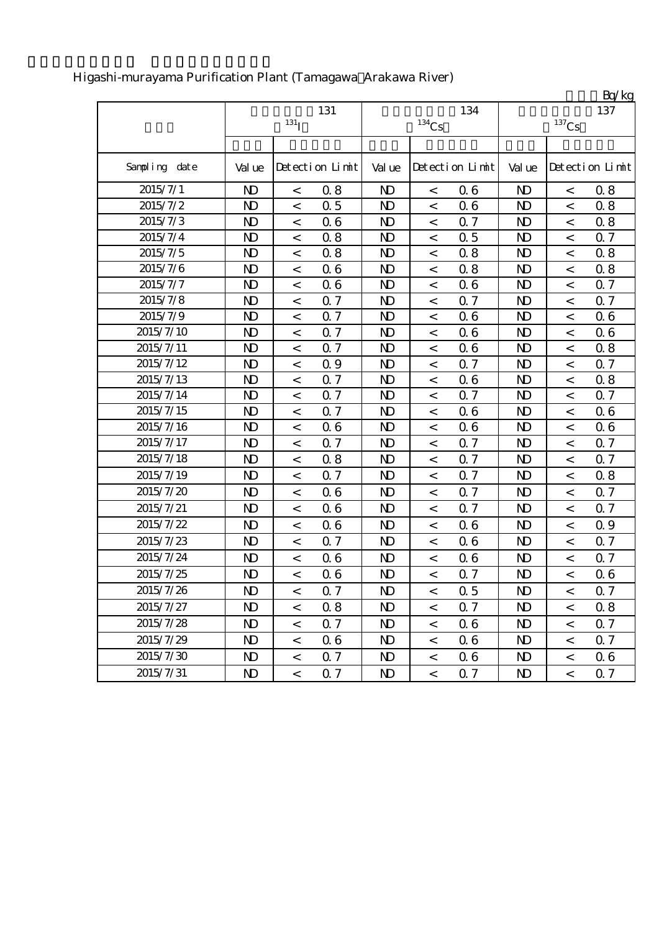|               |                |                          |                 |                |                          |                 |                |                          | Bq/kg           |
|---------------|----------------|--------------------------|-----------------|----------------|--------------------------|-----------------|----------------|--------------------------|-----------------|
|               |                |                          | 131             |                |                          | 134             |                |                          | 137             |
|               |                | $131$ <sup>T</sup>       |                 |                | $134$ Cs                 |                 |                | $137$ Cs                 |                 |
|               |                |                          |                 |                |                          |                 |                |                          |                 |
| Sampling date | Val ue         |                          | Detection Limit | Val ue         |                          | Detection Limit | Val ue         |                          | Detection Limit |
| 2015/7/1      | N <sub>D</sub> | $\,<$                    | 0.8             | N <sub>D</sub> | $\,<$                    | 06              | $\mathbf{D}$   | $\,<$                    | 0.8             |
| 2015/7/2      | $\mathbf{D}$   | $\,<$                    | 0.5             | N <sub>D</sub> | $\,<\,$                  | 06              | N <sub>D</sub> | $\lt$                    | 0.8             |
| 2015/7/3      | N <sub>D</sub> | $\,<$                    | 06              | N <sub>D</sub> | $\,<\,$                  | 0.7             | $\mathbf{D}$   | $\,<$                    | 0.8             |
| 2015/7/4      | $\mathbf{D}$   | $\,<$                    | 0.8             | N <sub>D</sub> | $\,<$                    | 0.5             | N <sub>D</sub> | $\,<$                    | 0.7             |
| 2015/7/5      | $\mathbf{D}$   | $\,<$                    | 0.8             | $\mathbf{D}$   | $\,<\,$                  | 0.8             | $\mathbf{D}$   | $\,<$                    | 0.8             |
| 2015/7/6      | $\mathbf{D}$   | $\,<$                    | 06              | N <sub>D</sub> | $\,<\,$                  | 0.8             | N <sub>D</sub> | $\lt$                    | 0.8             |
| 2015/7/7      | $\mathbf{D}$   | $\,<$                    | 06              | N <sub>D</sub> | $\,<$                    | 06              | N <sub>D</sub> | $\,<$                    | 0.7             |
| 2015/7/8      | $\mathbf{D}$   | $\,<\,$                  | 0.7             | $\mathbf{D}$   | $\,<\,$                  | 0.7             | $\mathbf{D}$   | $\,<$                    | 0.7             |
| 2015/7/9      | $\mathbf{D}$   | $\,<$                    | 0.7             | N <sub>D</sub> | $\,<$                    | 06              | N <sub>D</sub> | $\,<$                    | 0.6             |
| 2015/7/10     | $\mathbf{D}$   | $\,<$                    | 0.7             | $\mathbf{D}$   | $\,<\,$                  | 06              | $\mathbf{D}$   | $\,<\,$                  | 0.6             |
| 2015/7/11     | N <sub>D</sub> | $\,<$                    | 0.7             | N <sub>D</sub> | $\,<$                    | 06              | N <sub>D</sub> | $\,<$                    | 0.8             |
| 2015/7/12     | N <sub>D</sub> | $\,<$                    | 0.9             | N <sub>D</sub> | $\,<$                    | 0.7             | N <sub>D</sub> | $\,<$                    | 0.7             |
| 2015/7/13     | $\mathbf{D}$   | $\,<$                    | 0.7             | $\mathbf{D}$   | $\,<\,$                  | 06              | $\mathbf{D}$   | $\,<$                    | 0.8             |
| 2015/7/14     | N <sub>D</sub> | $\lt$                    | 0.7             | N <sub>D</sub> | $\,<$                    | 0.7             | N <sub>D</sub> | $\,<$                    | 0.7             |
| 2015/7/15     | $\mathbf{D}$   | $\,<$                    | 0.7             | N <sub>D</sub> | $\,<$                    | 06              | N <sub>D</sub> | $\,<$                    | 0.6             |
| 2015/7/16     | $\mathbf{D}$   | $\,<$                    | 06              | $\mathbf{D}$   | $\,<\,$                  | 06              | N <sub>D</sub> | $\,<$                    | 0.6             |
| 2015/7/17     | N <sub>D</sub> | $\,<$                    | 0.7             | N <sub>D</sub> | $\,<$                    | 0.7             | $\mathbf{D}$   | $\,<\,$                  | 0.7             |
| 2015/7/18     | $\mathbf{D}$   | $\,<$                    | 0.8             | $\mathbf{D}$   | $\,<\,$                  | 0.7             | $\mathbf{D}$   | $\,<$                    | 0.7             |
| 2015/7/19     | $\mathbf{D}$   | $\,<$                    | 0.7             | $\mathbf{D}$   | $\,<\,$                  | 0.7             | $\mathbf{D}$   | $\,<$                    | 0.8             |
| 2015/7/20     | $\mathbf{D}$   | $\,<$                    | 06              | N <sub>D</sub> | $\,<$                    | Q 7             | $\mathbf{D}$   | $\,<\,$                  | 0.7             |
| 2015/7/21     | $\mathbf{D}$   | $\,<$                    | 06              | N <sub>D</sub> | $\,<\,$                  | 0.7             | N <sub>D</sub> | $\,<$                    | 0.7             |
| 2015/7/22     | $\mathbf{D}$   | $\,<$                    | 06              | N <sub>D</sub> | $\,<\,$                  | 06              | N <sub>D</sub> | $\,<\,$                  | 0.9             |
| 2015/7/23     | N <sub>D</sub> | $\,<$                    | 0.7             | N <sub>D</sub> | $\,<\,$                  | 06              | N <sub>D</sub> | $\,<$                    | 0.7             |
| 2015/7/24     | $\mathbf{D}$   | $\,<$                    | 06              | $\mathbf{D}$   | $\,<\,$                  | 06              | N <sub>D</sub> | $\,<$                    | 0.7             |
| 2015/7/25     | N <sub>D</sub> | $\,<$                    | 06              | N <sub>D</sub> | $\,<$                    | 0.7             | N <sub>D</sub> | $\,<$                    | 0.6             |
| 2015/7/26     | N <sub>D</sub> | $\,<\,$                  | 0.7             | N <sub>D</sub> | $\,<$                    | 0.5             | N)             | $\,<\,$                  | 0.7             |
| 2015/7/27     | $\mathbf{D}$   | $\,<\,$                  | 0.8             | N <sub>D</sub> | $\overline{\phantom{0}}$ | Q 7             | $\mathbf{D}$   | $\lt$                    | 0.8             |
| 2015/7/28     | $\mathbf{D}$   | $\,<\,$                  | 0.7             | $\mathbf{D}$   | $\,<\,$                  | 06              | N <sub>D</sub> | $\,<\,$                  | 0.7             |
| 2015/7/29     | $\mathbf{D}$   | $\overline{\phantom{a}}$ | 06              | ND.            | $\,<\,$                  | 06              | N <sub>D</sub> | $\,<$                    | 0.7             |
| 2015/7/30     | N <sub>D</sub> | $\,<\,$                  | 0.7             | $\mathbf{D}$   | $\,<$                    | 06              | N <sub>D</sub> | $\,<$                    | 0.6             |
| 2015/7/31     | $\mathbf{D}$   | $\,<\,$                  | 0.7             | N <sub>D</sub> | $\,<$                    | 0.7             | N <sub>D</sub> | $\overline{\phantom{a}}$ | 0.7             |

## Higashi-murayama Purification Plant (Tamagawa Arakawa River)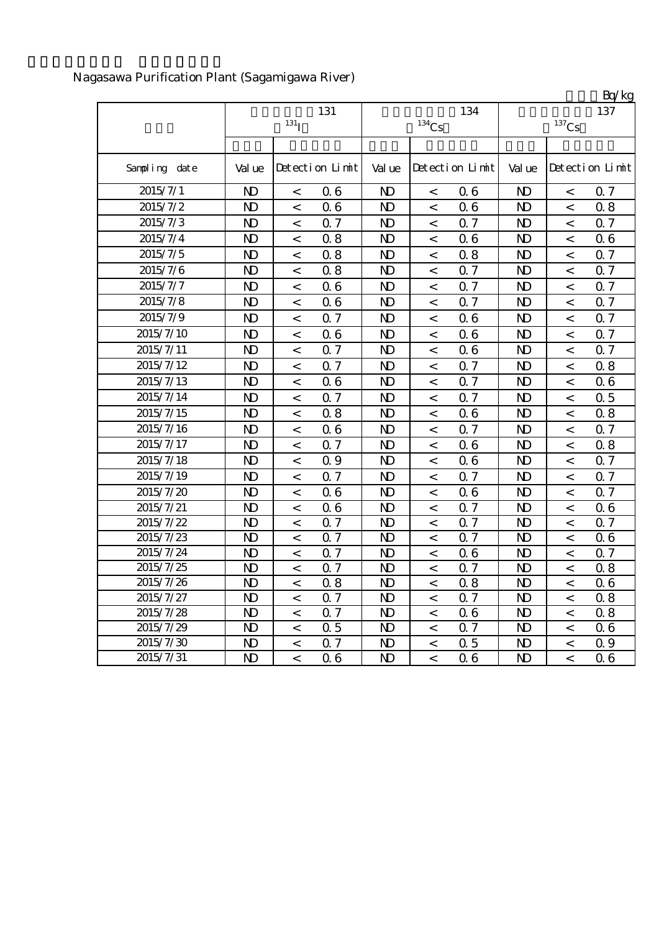|               |                |                    |                 |                |          |                 |                |                          | Bq/kg           |
|---------------|----------------|--------------------|-----------------|----------------|----------|-----------------|----------------|--------------------------|-----------------|
|               |                |                    | 131             |                |          | 134             |                |                          | 137             |
|               |                | $131$ <sub>I</sub> |                 |                | $134$ Cs |                 |                | $^{137}\mathrm{Cs}$      |                 |
|               |                |                    |                 |                |          |                 |                |                          |                 |
| Sampling date | Val ue         |                    | Detection Limit | Val ue         |          | Detection Limit | Val ue         |                          | Detection Limit |
| 2015/7/1      | $\mathbf{D}$   | $\,<$              | 06              | $\mathbf{D}$   | $\,<$    | 06              | N <sub>D</sub> | $\,<$                    | 0.7             |
| 2015/7/2      | N <sub>D</sub> | $\,<$              | 06              | N <sub>D</sub> | $\lt$    | 06              | N <sub>D</sub> | $\lt$                    | 0.8             |
| 2015/7/3      | $\mathbf{D}$   | $\,<$              | 0.7             | N <sub>D</sub> | $\,<$    | 0.7             | $\mathbf{D}$   | $\,<$                    | 0.7             |
| 2015/7/4      | $\mathbf{D}$   | $\,<$              | 0.8             | N <sub>D</sub> | $\,<$    | 06              | N <sub>D</sub> | $\,<$                    | 0.6             |
| 2015/7/5      | $\mathbf{D}$   | $\,<$              | 0.8             | $\mathbf{D}$   | $\,<$    | 0.8             | $\mathbf{D}$   | $\,<$                    | 0.7             |
| 2015/7/6      | N <sub>D</sub> | $\,<$              | 0.8             | N <sub>D</sub> | $\,<$    | 0.7             | N <sub>D</sub> | $\,<$                    | 0.7             |
| 2015/7/7      | $\mathbf{D}$   | $\,<$              | 06              | $\mathbf{D}$   | $\,<$    | 0.7             | N <sub>D</sub> | $\,<$                    | 0.7             |
| 2015/7/8      | $\mathbf{D}$   | $\,<$              | 06              | $\mathbf{D}$   | $\,<$    | 0.7             | $\mathbf{D}$   | $\,<$                    | 0.7             |
| 2015/7/9      | $\mathbf{D}$   | $\,<$              | 0.7             | $\mathbf{D}$   | $\,<$    | 06              | N <sub>D</sub> | $\,<$                    | 0.7             |
| 2015/7/10     | $\mathbf{D}$   | $\,<$              | 06              | $\mathbf{D}$   | $\,<\,$  | 06              | $\mathbf{D}$   | $\,<$                    | 0.7             |
| 2015/7/11     | $\mathbf{D}$   | $\,<$              | 0.7             | N <sub>D</sub> | $\,<$    | 06              | N <sub>D</sub> | $\,<$                    | 0.7             |
| 2015/7/12     | $\mathbf{D}$   | $\,<$              | 0.7             | $\mathbf{D}$   | $\,<$    | 0.7             | N <sub>D</sub> | $\,<$                    | 0.8             |
| 2015/7/13     | $\mathbf{D}$   | $\,<$              | 06              | $\mathbf{D}$   | $\,<$    | Q 7             | $\mathbf{D}$   | $\,<$                    | 0.6             |
| 2015/7/14     | $\mathbf{D}$   | $\,<$              | 0.7             | $\mathbf{D}$   | $\,<$    | 0.7             | N <sub>D</sub> | $\,<$                    | 0.5             |
| 2015/7/15     | $\mathbf{D}$   | $\,<$              | 0.8             | $\mathbf{D}$   | $\,<$    | 06              | N <sub>D</sub> | $\,<$                    | 0.8             |
| 2015/7/16     | $\mathbf{D}$   | $\,<$              | 06              | N <sub>D</sub> | $\,<$    | 0.7             | N <sub>D</sub> | $\,<$                    | 0.7             |
| 2015/7/17     | $\mathbf{D}$   | $\,<$              | 0.7             | N <sub>D</sub> | $\,<$    | 06              | N <sub>D</sub> | $\,<$                    | 0.8             |
| 2015/7/18     | $\mathbf{D}$   | $\,<$              | 0.9             | $\mathbf{D}$   | $\,<\,$  | 06              | $\mathbf{D}$   | $\,<$                    | 0.7             |
| 2015/7/19     | $\mathbf{D}$   | $\,<$              | 0.7             | N <sub>D</sub> | $\,<$    | 0.7             | N <sub>D</sub> | $\,<$                    | 0.7             |
| 2015/7/20     | N <sub>D</sub> | $\,<$              | 06              | N <sub>D</sub> | $\,<$    | 06              | N <sub>D</sub> | $\,<$                    | 0.7             |
| 2015/7/21     | $\mathbf{D}$   | $\,<$              | 06              | $\mathbf{D}$   | $\,<\,$  | Q 7             | $\mathbf{D}$   | $\,<$                    | 0.6             |
| 2015/7/22     | $\mathbf{D}$   | $\,<$              | 0.7             | N <sub>D</sub> | $\,<$    | 0.7             | N <sub>D</sub> | $\,<$                    | 0.7             |
| 2015/7/23     | $\mathbf{D}$   | $\,<$              | 0.7             | N <sub>D</sub> | $\,<$    | 0.7             | N <sub>D</sub> | $\,<$                    | 0.6             |
| 2015/7/24     | $\mathbf{D}$   | $\,<$              | Q 7             | N <sub>D</sub> | $\,<$    | 06              | $\mathbf{D}$   | $\,<$                    | 0.7             |
| 2015/7/25     | $\mathbf{D}$   | $\,<$              | 0.7             | N <sub>D</sub> | $\,<$    | 0.7             | N <sub>D</sub> | $\,<$                    | 0.8             |
| 2015/7/26     | $\mathbf{D}$   | $\,<\,$            | 0.8             | $\mathbf{N}$   | $\,<\,$  | 0.8             | $\overline{M}$ | $\,<\,$                  | 0.6             |
| 2015/7/27     | N)             | $\,<$              | 0.7             | N <sub>D</sub> | $\,<\,$  | 0.7             | N <sub>D</sub> | $\,<\,$                  | 0.8             |
| 2015/7/28     | $\mathbf{D}$   | $\,<$              | 0.7             | N <sub>D</sub> | $\,<$    | 06              | N <sub>D</sub> | $\,<$                    | 0.8             |
| 2015/7/29     | N)             | $\,<$              | 0.5             | N <sub>D</sub> | $\,<$    | 0.7             | N <sub>D</sub> | $\,<$                    | 0.6             |
| 2015/7/30     | N <sub>D</sub> | $\,<$              | 0.7             | N <sub>D</sub> | $\,<$    | 0.5             | N <sub>D</sub> | $\,<$                    | Q 9             |
| 2015/7/31     | N)             | $\,<$              | 06              | N <sub>D</sub> | $\,<\,$  | 06              | N <sub>D</sub> | $\overline{\phantom{a}}$ | 0.6             |

## Nagasawa Purification Plant (Sagamigawa River)